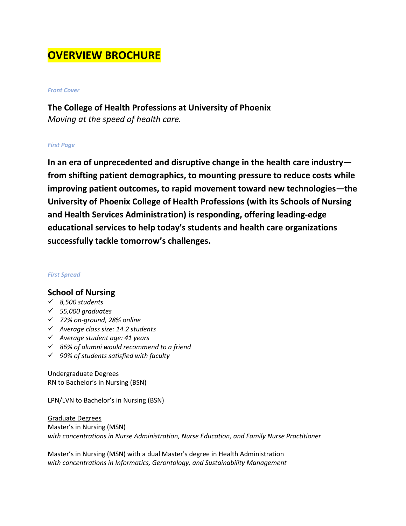# **OVERVIEW BROCHURE**

#### *Front Cover*

**The College of Health Professions at University of Phoenix** *Moving at the speed of health care.*

#### *First Page*

**In an era of unprecedented and disruptive change in the health care industry from shifting patient demographics, to mounting pressure to reduce costs while improving patient outcomes, to rapid movement toward new technologies—the University of Phoenix College of Health Professions (with its Schools of Nursing and Health Services Administration) is responding, offering leading-edge educational services to help today's students and health care organizations successfully tackle tomorrow's challenges.**

#### *First Spread*

### **School of Nursing**

- *8,500 students*
- *55,000 graduates*
- *72% on-ground, 28% online*
- *Average class size: 14.2 students*
- *Average student age: 41 years*
- *86% of alumni would recommend to a friend*
- *90% of students satisfied with faculty*

Undergraduate Degrees RN to Bachelor's in Nursing (BSN)

LPN/LVN to Bachelor's in Nursing (BSN)

Graduate Degrees Master's in Nursing (MSN) *with concentrations in Nurse Administration, Nurse Education, and Family Nurse Practitioner*

Master's in Nursing (MSN) with a dual Master's degree in Health Administration *with concentrations in Informatics, Gerontology, and Sustainability Management*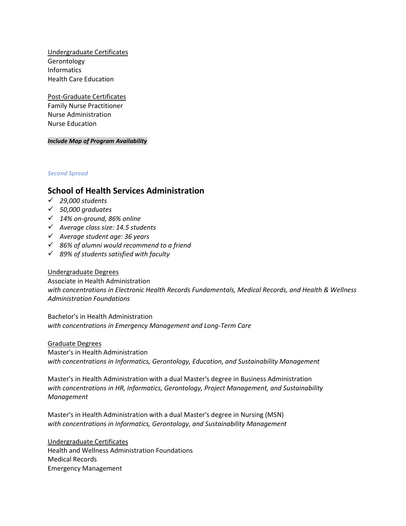Undergraduate Certificates Gerontology Informatics Health Care Education

Post-Graduate Certificates Family Nurse Practitioner Nurse Administration Nurse Education

*Include Map of Program Availability*

*Second Spread*

### **School of Health Services Administration**

- *29,000 students*
- *50,000 graduates*
- *14% on-ground, 86% online*
- *Average class size: 14.5 students*
- *Average student age: 36 years*
- *86% of alumni would recommend to a friend*
- *89% of students satisfied with faculty*

#### Undergraduate Degrees

Associate in Health Administration *with concentrations in Electronic Health Records Fundamentals, Medical Records, and Health & Wellness Administration Foundations*

Bachelor's in Health Administration *with concentrations in Emergency Management and Long-Term Care*

Graduate Degrees Master's in Health Administration *with concentrations in Informatics, Gerontology, Education, and Sustainability Management* 

Master's in Health Administration with a dual Master's degree in Business Administration *with concentrations in HR, Informatics, Gerontology, Project Management, and Sustainability Management*

Master's in Health Administration with a dual Master's degree in Nursing (MSN) *with concentrations in Informatics, Gerontology, and Sustainability Management*

Undergraduate Certificates Health and Wellness Administration Foundations Medical Records Emergency Management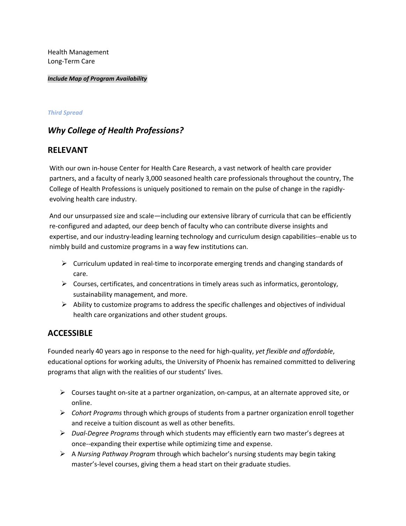Health Management Long-Term Care

*Include Map of Program Availability*

#### *Third Spread*

# *Why College of Health Professions?*

### **RELEVANT**

With our own in-house Center for Health Care Research, a vast network of health care provider partners, and a faculty of nearly 3,000 seasoned health care professionals throughout the country, The College of Health Professions is uniquely positioned to remain on the pulse of change in the rapidlyevolving health care industry.

And our unsurpassed size and scale—including our extensive library of curricula that can be efficiently re-configured and adapted, our deep bench of faculty who can contribute diverse insights and expertise, and our industry-leading learning technology and curriculum design capabilities--enable us to nimbly build and customize programs in a way few institutions can.

- $\triangleright$  Curriculum updated in real-time to incorporate emerging trends and changing standards of care.
- $\triangleright$  Courses, certificates, and concentrations in timely areas such as informatics, gerontology, sustainability management, and more.
- Ability to customize programs to address the specific challenges and objectives of individual health care organizations and other student groups.

## **ACCESSIBLE**

Founded nearly 40 years ago in response to the need for high-quality, *yet flexible and affordable*, educational options for working adults, the University of Phoenix has remained committed to delivering programs that align with the realities of our students' lives.

- $\triangleright$  Courses taught on-site at a partner organization, on-campus, at an alternate approved site, or online.
- *Cohort Programs* through which groups of students from a partner organization enroll together and receive a tuition discount as well as other benefits.
- *Dual-Degree Programs* through which students may efficiently earn two master's degrees at once--expanding their expertise while optimizing time and expense.
- A *Nursing Pathway Program* through which bachelor's nursing students may begin taking master's-level courses, giving them a head start on their graduate studies.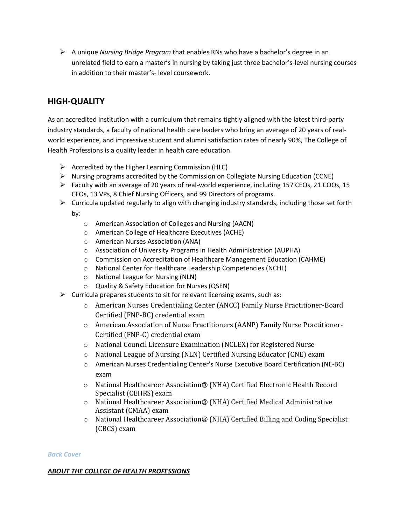A unique *Nursing Bridge Program* that enables RNs who have a bachelor's degree in an unrelated field to earn a master's in nursing by taking just three bachelor's-level nursing courses in addition to their master's- level coursework.

# **HIGH-QUALITY**

As an accredited institution with a curriculum that remains tightly aligned with the latest third-party industry standards, a faculty of national health care leaders who bring an average of 20 years of realworld experience, and impressive student and alumni satisfaction rates of nearly 90%, The College of Health Professions is a quality leader in health care education.

- $\triangleright$  Accredited by the Higher Learning Commission (HLC)
- $\triangleright$  Nursing programs accredited by the Commission on Collegiate Nursing Education (CCNE)
- $\triangleright$  Faculty with an average of 20 years of real-world experience, including 157 CEOs, 21 COOs, 15 CFOs, 13 VPs, 8 Chief Nursing Officers, and 99 Directors of programs.
- $\triangleright$  Curricula updated regularly to align with changing industry standards, including those set forth by:
	- o American Association of Colleges and Nursing (AACN)
	- o American College of Healthcare Executives (ACHE)
	- o American Nurses Association (ANA)
	- o Association of University Programs in Health Administration (AUPHA)
	- o Commission on Accreditation of Healthcare Management Education (CAHME)
	- o National Center for Healthcare Leadership Competencies (NCHL)
	- o National League for Nursing (NLN)
	- o Quality & Safety Education for Nurses (QSEN)
- $\triangleright$  Curricula prepares students to sit for relevant licensing exams, such as:
	- o American Nurses Credentialing Center (ANCC) Family Nurse Practitioner-Board Certified (FNP-BC) credential exam
	- o American Association of Nurse Practitioners (AANP) Family Nurse Practitioner-Certified (FNP-C) credential exam
	- o National Council Licensure Examination (NCLEX) for Registered Nurse
	- o National League of Nursing (NLN) Certified Nursing Educator (CNE) exam
	- o American Nurses Credentialing Center's Nurse Executive Board Certification (NE-BC) exam
	- o National Healthcareer Association® (NHA) Certified Electronic Health Record Specialist (CEHRS) exam
	- o National Healthcareer Association® (NHA) Certified Medical Administrative Assistant (CMAA) exam
	- o National Healthcareer Association® (NHA) Certified Billing and Coding Specialist (CBCS) exam

#### *Back Cover*

#### *ABOUT THE COLLEGE OF HEALTH PROFESSIONS*